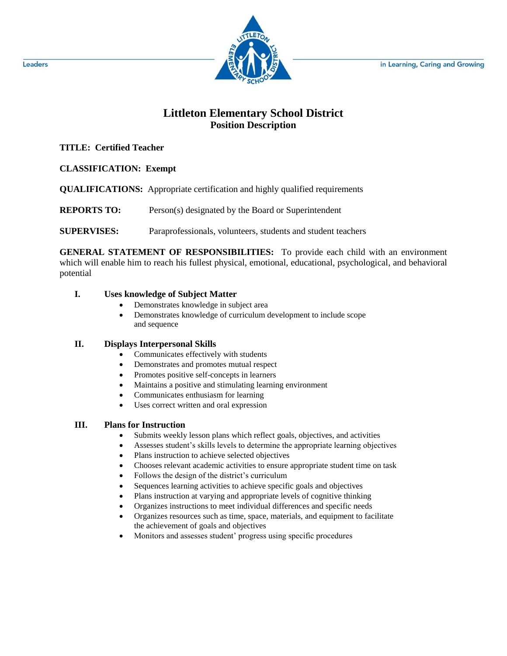

# **Littleton Elementary School District Position Description**

## **TITLE: Certified Teacher**

**CLASSIFICATION: Exempt**

**QUALIFICATIONS:** Appropriate certification and highly qualified requirements

**REPORTS TO:** Person(s) designated by the Board or Superintendent

**SUPERVISES:** Paraprofessionals, volunteers, students and student teachers

**GENERAL STATEMENT OF RESPONSIBILITIES:** To provide each child with an environment which will enable him to reach his fullest physical, emotional, educational, psychological, and behavioral potential

## **I. Uses knowledge of Subject Matter**

- Demonstrates knowledge in subject area
- Demonstrates knowledge of curriculum development to include scope and sequence

## **II. Displays Interpersonal Skills**

- Communicates effectively with students
- Demonstrates and promotes mutual respect
- Promotes positive self-concepts in learners
- Maintains a positive and stimulating learning environment
- Communicates enthusiasm for learning
- Uses correct written and oral expression

## **III. Plans for Instruction**

- Submits weekly lesson plans which reflect goals, objectives, and activities
- Assesses student's skills levels to determine the appropriate learning objectives
- Plans instruction to achieve selected objectives
- Chooses relevant academic activities to ensure appropriate student time on task
- Follows the design of the district's curriculum
- Sequences learning activities to achieve specific goals and objectives
- Plans instruction at varying and appropriate levels of cognitive thinking
- Organizes instructions to meet individual differences and specific needs
- Organizes resources such as time, space, materials, and equipment to facilitate the achievement of goals and objectives
- Monitors and assesses student' progress using specific procedures

Leaders